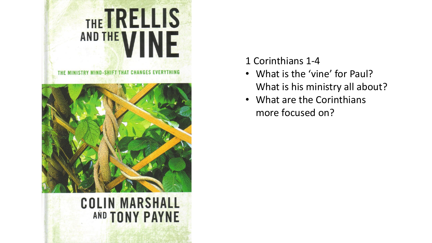

## 1 Corinthians 1-4

- What is the 'vine' for Paul? What is his ministry all about?
- What are the Corinthians more focused on?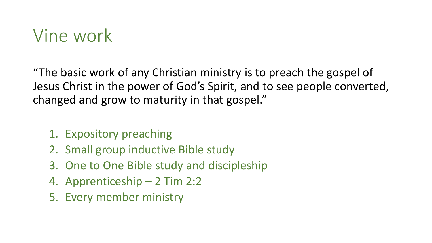## Vine work

"The basic work of any Christian ministry is to preach the gospel of Jesus Christ in the power of God's Spirit, and to see people converted, changed and grow to maturity in that gospel."

- 1. Expository preaching
- 2. Small group inductive Bible study
- 3. One to One Bible study and discipleship
- 4. Apprenticeship 2 Tim 2:2
- 5. Every member ministry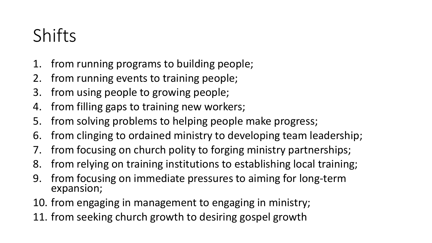## Shifts

- 1. from running programs to building people;
- 2. from running events to training people;
- 3. from using people to growing people;
- 4. from filling gaps to training new workers;
- 5. from solving problems to helping people make progress;
- 6. from clinging to ordained ministry to developing team leadership;
- 7. from focusing on church polity to forging ministry partnerships;
- 8. from relying on training institutions to establishing local training;
- 9. from focusing on immediate pressures to aiming for long-term expansion;
- 10. from engaging in management to engaging in ministry;
- 11. from seeking church growth to desiring gospel growth